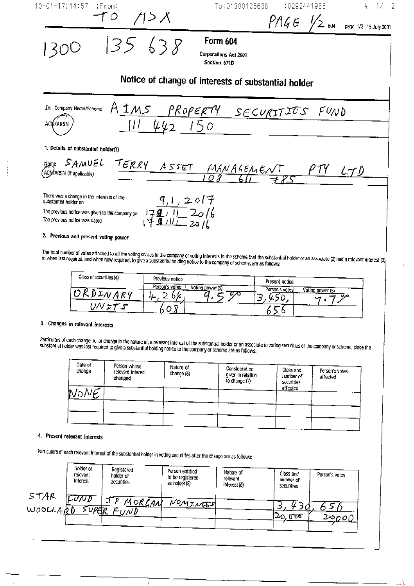

# 3. Changes in relevant interests

Particulars of cach change in, or change in the nature of, a relevant interest of the substantial holder or an associate in voting securities of the company or scheme, since the substantial holder was last required to give a substantial holding notice to the company or scheme are as follows:

| Date of<br>change | Person whose<br>relevant Interest<br>changed | Nature of<br>change (6) | Consideration<br>given in relation<br>to change (7) | Class and<br>number of<br>securities<br>affected | Person's votes<br>affected |
|-------------------|----------------------------------------------|-------------------------|-----------------------------------------------------|--------------------------------------------------|----------------------------|
| ŀŀ.               |                                              |                         |                                                     |                                                  |                            |
|                   |                                              |                         |                                                     |                                                  |                            |

## 4. Present relevant interests

Particulars of each relevant interest of the substantial holder in voting securities after the change are as follows:

|                  | Holder of<br>relevant<br>Interest | Registered<br>holder of<br>securities | Person entitied<br>to be registered<br>as holder (8) | Nature of<br>relevant<br>interest (6) | Class and<br>number of<br>sccurities | Person's votes |
|------------------|-----------------------------------|---------------------------------------|------------------------------------------------------|---------------------------------------|--------------------------------------|----------------|
| STAR<br>WOOCLARD | F⊽ND<br>suretr                    | <u>MORGAN</u><br>FUND                 | NOMINES                                              |                                       | 20,000                               | 2 $\infty$ 00  |